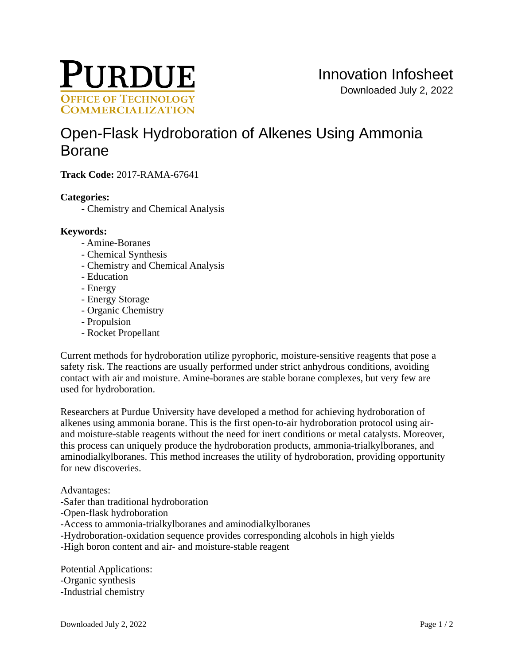

# [Open-Flask Hydroboration of Alkenes Using Ammonia](https://inventions.prf.org/innovation/6177)  [Borane](https://inventions.prf.org/innovation/6177)

**Track Code:** 2017-RAMA-67641

## **Categories:**

- Chemistry and Chemical Analysis

### **Keywords:**

- Amine-Boranes
- Chemical Synthesis
- Chemistry and Chemical Analysis
- Education
- Energy
- Energy Storage
- Organic Chemistry
- Propulsion
- Rocket Propellant

Current methods for hydroboration utilize pyrophoric, moisture-sensitive reagents that pose a safety risk. The reactions are usually performed under strict anhydrous conditions, avoiding contact with air and moisture. Amine-boranes are stable borane complexes, but very few are used for hydroboration.

Researchers at Purdue University have developed a method for achieving hydroboration of alkenes using ammonia borane. This is the first open-to-air hydroboration protocol using airand moisture-stable reagents without the need for inert conditions or metal catalysts. Moreover, this process can uniquely produce the hydroboration products, ammonia-trialkylboranes, and aminodialkylboranes. This method increases the utility of hydroboration, providing opportunity for new discoveries.

Advantages:

- -Safer than traditional hydroboration
- -Open-flask hydroboration
- -Access to ammonia-trialkylboranes and aminodialkylboranes
- -Hydroboration-oxidation sequence provides corresponding alcohols in high yields
- -High boron content and air- and moisture-stable reagent

Potential Applications: -Organic synthesis -Industrial chemistry